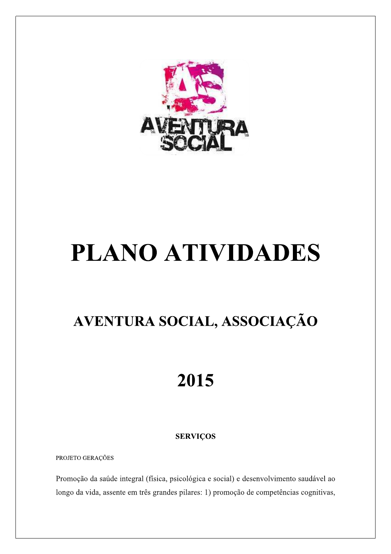

# **PLANO ATIVIDADES**

# AVENTURA SOCIAL, ASSOCIAÇÃO

# 2015

# **SERVIÇOS**

PROJETO GERAÇÕES

Promoção da saúde integral (física, psicológica e social) e desenvolvimento saudável ao longo da vida, assente em três grandes pilares: 1) promoção de competências cognitivas,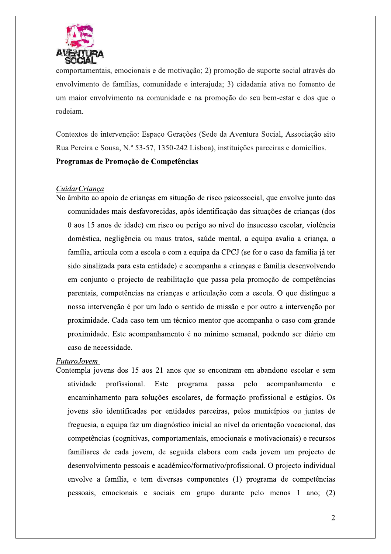

comportamentais, emocionais e de motivação; 2) promoção de suporte social através do envolvimento de famílias, comunidade e interajuda; 3) cidadania ativa no fomento de um maior envolvimento na comunidade e na promoção do seu bem-estar e dos que o rodeiam.

Contextos de intervenção: Espaco Gerações (Sede da Aventura Social, Associação sito Rua Pereira e Sousa, N.º 53-57, 1350-242 Lisboa), instituições parceiras e domicílios. Programas de Promoção de Competências

# CuidarCriança

No âmbito ao apoio de crianças em situação de risco psicossocial, que envolve junto das comunidades mais desfavorecidas, após identificação das situações de crianças (dos 0 aos 15 anos de idade) em risco ou perigo ao nível do insucesso escolar, violência doméstica, negligência ou maus tratos, saúde mental, a equipa avalia a criança, a família, articula com a escola e com a equipa da CPCJ (se for o caso da família já ter sido sinalizada para esta entidade) e acompanha a crianças e família desenvolvendo em conjunto o projecto de reabilitação que passa pela promoção de competências parentais, competências na crianças e articulação com a escola. O que distingue a nossa intervenção é por um lado o sentido de missão e por outro a intervenção por proximidade. Cada caso tem um técnico mentor que acompanha o caso com grande proximidade. Este acompanhamento é no mínimo semanal, podendo ser diário em caso de necessidade.

#### **FuturoJovem**

Contempla jovens dos 15 aos 21 anos que se encontram em abandono escolar e sem atividade profissional. Este programa passa pelo acompanhamento  $\mathbf{e}$ encaminhamento para soluções escolares, de formação profissional e estágios. Os jovens são identificadas por entidades parceiras, pelos municípios ou juntas de freguesia, a equipa faz um diagnóstico inicial ao nível da orientação vocacional, das competências (cognitivas, comportamentais, emocionais e motivacionais) e recursos familiares de cada jovem, de seguida elabora com cada jovem um projecto de desenvolvimento pessoais e académico/formativo/profissional. O projecto individual envolve a família, e tem diversas componentes (1) programa de competências pessoais, emocionais e sociais em grupo durante pelo menos 1 ano; (2)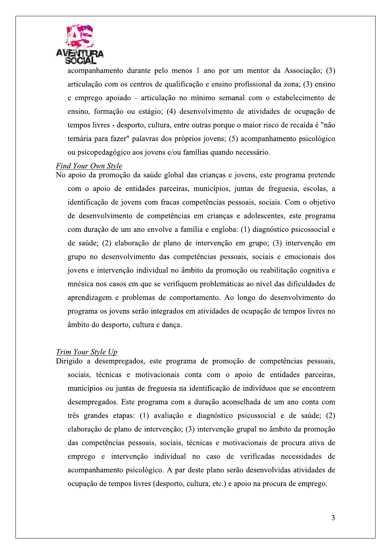

acompanhamento durante pelo menos 1 ano por um mentor da Associação; (3) articulação com os centros de qualificação e ensino profissional da zona; (3) ensino e emprego apoiado - articulação no mínimo semanal com o estabelecimento de ensino, formação ou estágio; (4) desenvolvimento de atividades de ocupação de tempos livres - desporto, cultura, entre outras porque o maior risco de recaída é "não ternária para fazer" palavras dos próprios jovens; (5) acompanhamento psicológico ou psicopedagógico aos jovens e/ou famílias quando necessário.

#### Find Your Own Style

No apoio da promoção da saúde global das crianças e jovens, este programa pretende com o apoio de entidades parceiras, municípios, juntas de freguesia, escolas, a identificação de jovens com fracas competências pessoais, sociais. Com o objetivo de desenvolvimento de competências em crianças e adolescentes, este programa com duração de um ano envolve a família e engloba: (1) diagnóstico psicossocial e de saúde; (2) elaboração de plano de intervenção em grupo; (3) intervenção em grupo no desenvolvimento das competências pessoais, sociais e emocionais dos jovens e intervenção individual no âmbito da promoção ou reabilitação cognitiva e mnésica nos casos em que se verifiquem problemáticas ao nível das dificuldades de aprendizagem e problemas de comportamento. Ao longo do desenvolvimento do programa os jovens serão integrados em atividades de ocupação de tempos livres no âmbito do desporto, cultura e dança.

#### Trim Your Style Up

Dirigido a desempregados, este programa de promoção de competências pessoais, sociais, técnicas e motivacionais conta com o apoio de entidades parceiras, municípios ou juntas de freguesia na identificação de indivíduos que se encontrem desempregados. Este programa com a duração aconselhada de um ano conta com três grandes etapas: (1) avaliação e diagnóstico psicossocial e de saúde; (2) elaboração de plano de intervenção; (3) intervenção grupal no âmbito da promoção das competências pessoais, sociais, técnicas e motivacionais de procura ativa de emprego e intervenção individual no caso de verificadas necessidades de acompanhamento psicológico. A par deste plano serão desenvolvidas atividades de ocupação de tempos livres (desporto, cultura, etc.) e apoio na procura de emprego.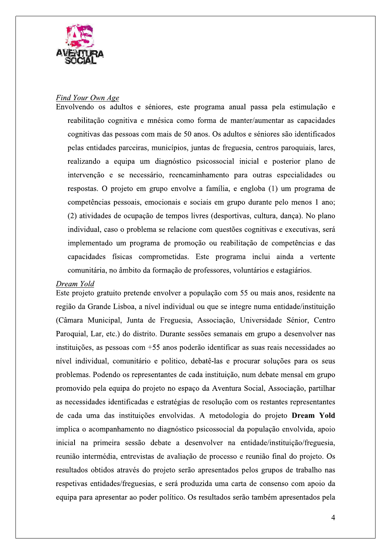

# Find Your Own Age

Envolvendo os adultos e séniores, este programa anual passa pela estimulação e reabilitação cognitiva e mnésica como forma de manter/aumentar as capacidades cognitivas das pessoas com mais de 50 anos. Os adultos e séniores são identificados pelas entidades parceiras, municípios, juntas de freguesia, centros paroquiais, lares, realizando a equipa um diagnóstico psicossocial inicial e posterior plano de intervenção e se necessário, reencaminhamento para outras especialidades ou respostas. O projeto em grupo envolve a família, e engloba (1) um programa de competências pessoais, emocionais e sociais em grupo durante pelo menos 1 ano; (2) atividades de ocupação de tempos livres (desportivas, cultura, dança). No plano individual, caso o problema se relacione com questões cognitivas e executivas, será implementado um programa de promoção ou reabilitação de competências e das capacidades físicas comprometidas. Este programa inclui ainda a vertente comunitária, no âmbito da formação de professores, voluntários e estagiários.

#### Dream Yold

Este projeto gratuito pretende envolver a população com 55 ou mais anos, residente na região da Grande Lisboa, a nível individual ou que se integre numa entidade/instituição (Câmara Municipal, Junta de Freguesia, Associação, Universidade Sénior, Centro Paroquial, Lar, etc.) do distrito. Durante sessões semanais em grupo a desenvolver nas instituições, as pessoas com  $+55$  anos poderão identificar as suas reais necessidades ao nível individual, comunitário e politico, debatê-las e procurar soluções para os seus problemas. Podendo os representantes de cada instituição, num debate mensal em grupo promovido pela equipa do projeto no espaço da Aventura Social, Associação, partilhar as necessidades identificadas e estratégias de resolução com os restantes representantes de cada uma das instituições envolvidas. A metodologia do projeto Dream Yold implica o acompanhamento no diagnóstico psicossocial da população envolvida, apoio inicial na primeira sessão debate a desenvolver na entidade/instituição/freguesia, reunião intermédia, entrevistas de avaliação de processo e reunião final do projeto. Os resultados obtidos através do projeto serão apresentados pelos grupos de trabalho nas respetivas entidades/freguesias, e será produzida uma carta de consenso com apoio da equipa para apresentar ao poder político. Os resultados serão também apresentados pela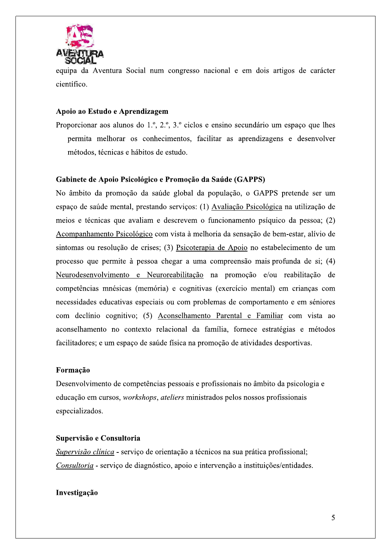

equipa da Aventura Social num congresso nacional e em dois artigos de carácter científico.

# Apoio ao Estudo e Aprendizagem

Proporcionar aos alunos do 1.º, 2.º, 3.º ciclos e ensino secundário um espaço que lhes permita melhorar os conhecimentos, facilitar as aprendizagens e desenvolver métodos, técnicas e hábitos de estudo.

# Gabinete de Apoio Psicológico e Promoção da Saúde (GAPPS)

No âmbito da promoção da saúde global da população, o GAPPS pretende ser um espaco de saúde mental, prestando servicos: (1) Avaliação Psicológica na utilização de meios e técnicas que avaliam e descrevem o funcionamento psíquico da pessoa; (2) Acompanhamento Psicológico com vista à melhoria da sensação de bem-estar, alívio de sintomas ou resolução de crises; (3) Psicoterapia de Apoio no estabelecimento de um processo que permite à pessoa chegar a uma compreensão mais profunda de si; (4) Neurodesenvolvimento e Neuroreabilitação na promoção e/ou reabilitação de competências mnésicas (memória) e cognitivas (exercício mental) em crianças com necessidades educativas especiais ou com problemas de comportamento e em séniores com declínio cognitivo; (5) Aconselhamento Parental e Familiar com vista ao aconselhamento no contexto relacional da família, fornece estratégias e métodos facilitadores; e um espaço de saúde física na promoção de atividades desportivas.

#### Formação

Desenvolvimento de competências pessoais e profissionais no âmbito da psicologia e educação em cursos, *workshops*, *ateliers* ministrados pelos nossos profissionais especializados.

#### Supervisão e Consultoria

Supervisão clínica - serviço de orientação a técnicos na sua prática profissional; Consultoria - serviço de diagnóstico, apoio e intervenção a instituições/entidades.

# Investigação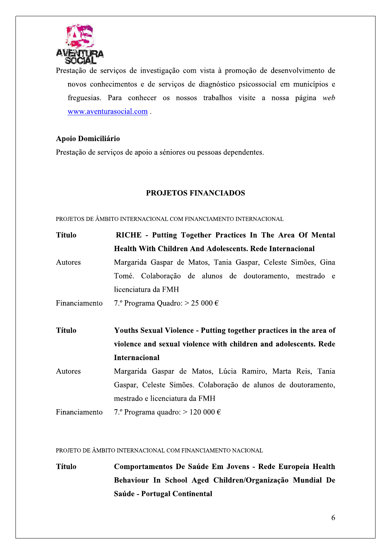

Prestação de serviços de investigação com vista à promoção de desenvolvimento de novos conhecimentos e de serviços de diagnóstico psicossocial em municípios e freguesias. Para conhecer os nossos trabalhos visite a nossa página web www.aventurasocial.com.

# Apoio Domiciliário

Prestação de serviços de apoio a séniores ou pessoas dependentes.

# **PROJETOS FINANCIADOS**

PROJETOS DE ÂMBITO INTERNACIONAL COM FINANCIAMENTO INTERNACIONAL

| <b>Título</b> | RICHE - Putting Together Practices In The Area Of Mental           |  |  |
|---------------|--------------------------------------------------------------------|--|--|
|               | <b>Health With Children And Adolescents. Rede Internacional</b>    |  |  |
| Autores       | Margarida Gaspar de Matos, Tania Gaspar, Celeste Simões, Gina      |  |  |
|               | Tomé. Colaboração de alunos de doutoramento, mestrado e            |  |  |
|               | licenciatura da FMH                                                |  |  |
| Financiamento | 7.° Programa Quadro: $> 25000 \in$                                 |  |  |
|               |                                                                    |  |  |
|               |                                                                    |  |  |
| <b>Título</b> | Youths Sexual Violence - Putting together practices in the area of |  |  |
|               | violence and sexual violence with children and adolescents. Rede   |  |  |
|               | <b>Internacional</b>                                               |  |  |
| Autores       | Margarida Gaspar de Matos, Lúcia Ramiro, Marta Reis, Tania         |  |  |
|               | Gaspar, Celeste Simões. Colaboração de alunos de doutoramento,     |  |  |
|               | mestrado e licenciatura da FMH                                     |  |  |

PROJETO DE ÂMBITO INTERNACIONAL COM FINANCIAMENTO NACIONAL

**Título** Comportamentos De Saúde Em Jovens - Rede Europeia Health Behaviour In School Aged Children/Organização Mundial De Saúde - Portugal Continental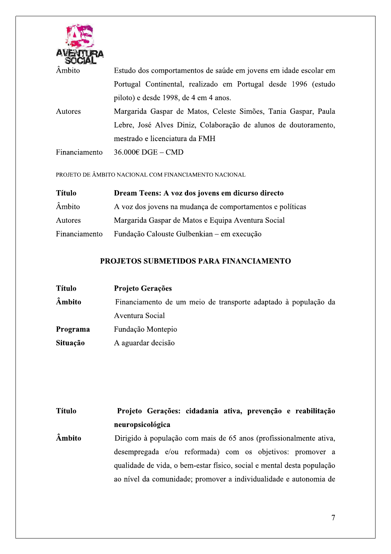

| Âmbito        | Estudo dos comportamentos de saúde em jovens em idade escolar em |  |  |
|---------------|------------------------------------------------------------------|--|--|
|               | Portugal Continental, realizado em Portugal desde 1996 (estudo   |  |  |
|               | piloto) e desde 1998, de 4 em 4 anos.                            |  |  |
| Autores       | Margarida Gaspar de Matos, Celeste Simões, Tania Gaspar, Paula   |  |  |
|               | Lebre, José Alves Diniz, Colaboração de alunos de doutoramento,  |  |  |
|               | mestrado e licenciatura da FMH                                   |  |  |
| Financiamento | $36.000 \text{E}$ DGE – CMD                                      |  |  |

#### PROJETO DE ÂMBITO NACIONAL COM FINANCIAMENTO NACIONAL

| <b>Título</b> | Dream Teens: A voz dos jovens em dicurso directo          |  |
|---------------|-----------------------------------------------------------|--|
| Âmbito        | A voz dos jovens na mudança de comportamentos e políticas |  |
| Autores       | Margarida Gaspar de Matos e Equipa Aventura Social        |  |
| Financiamento | Fundação Calouste Gulbenkian – em execução                |  |

# PROJETOS SUBMETIDOS PARA FINANCIAMENTO

| <b>Título</b> | <b>Projeto Gerações</b>                                        |
|---------------|----------------------------------------------------------------|
| Âmbito        | Financiamento de um meio de transporte adaptado à população da |
|               | Aventura Social                                                |
| Programa      | Fundação Montepio                                              |
| Situação      | A aguardar decisão                                             |

#### Projeto Gerações: cidadania ativa, prevenção e reabilitação **Título** neuropsicológica

**Âmbito** Dirigido à população com mais de 65 anos (profissionalmente ativa, desempregada e/ou reformada) com os objetivos: promover a qualidade de vida, o bem-estar físico, social e mental desta população ao nível da comunidade; promover a individualidade e autonomia de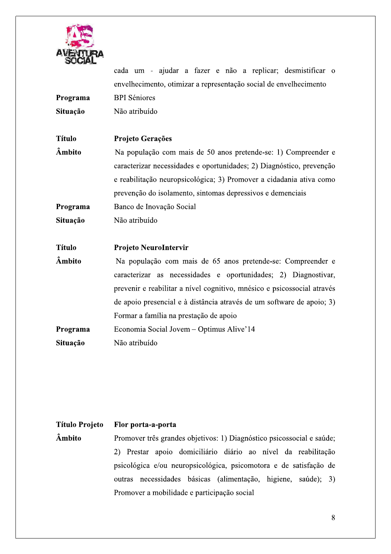

cada um - ajudar a fazer e não a replicar; desmistificar o envelhecimento, otimizar a representação social de envelhecimento Programa **BPI** Séniores Situação Não atribuído **Título** Projeto Gerações Âmbito Na população com mais de 50 anos pretende-se: 1) Compreender e caracterizar necessidades e oportunidades; 2) Diagnóstico, prevenção e reabilitação neuropsicológica; 3) Promover a cidadania ativa como prevenção do isolamento, sintomas depressivos e demenciais Programa Banco de Inovação Social Situação Não atribuído **Título Projeto NeuroIntervir** Âmbito Na população com mais de 65 anos pretende-se: Compreender e caracterizar as necessidades e oportunidades; 2) Diagnostivar, prevenir e reabilitar a nível cognitivo, mnésico e psicossocial através de apoio presencial e à distância através de um software de apoio; 3) Formar a família na prestação de apoio Programa Economia Social Jovem - Optimus Alive'14 Situação Não atribuído

# **Título Projeto** Flor porta-a-porta Âmbito Promover três grandes objetivos: 1) Diagnóstico psicossocial e saúde; 2) Prestar apoio domiciliário diário ao nível da reabilitação psicológica e/ou neuropsicológica, psicomotora e de satisfação de outras necessidades básicas (alimentação, higiene, saúde); 3) Promover a mobilidade e participação social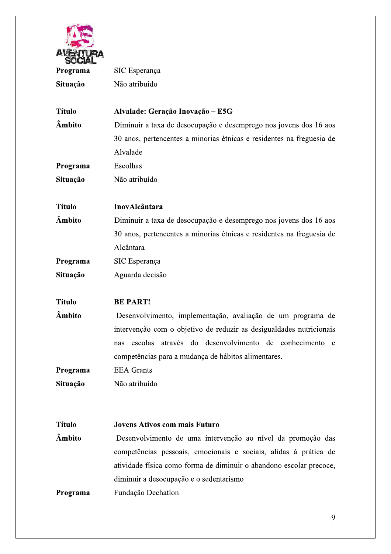

| Programa      | SIC Esperança                                                         |  |
|---------------|-----------------------------------------------------------------------|--|
| Situação      | Não atribuído                                                         |  |
| <b>Título</b> | Alvalade: Geração Inovação - E5G                                      |  |
| Âmbito        | Diminuir a taxa de desocupação e desemprego nos jovens dos 16 aos     |  |
|               | 30 anos, pertencentes a minorias étnicas e residentes na freguesia de |  |
|               | Alvalade                                                              |  |
| Programa      | Escolhas                                                              |  |
| Situação      | Não atribuído                                                         |  |
| <b>Título</b> | InovAlcântara                                                         |  |
| Âmbito        | Diminuir a taxa de desocupação e desemprego nos jovens dos 16 aos     |  |
|               | 30 anos, pertencentes a minorias étnicas e residentes na freguesia de |  |
|               | Alcântara                                                             |  |
| Programa      | SIC Esperança                                                         |  |
| Situação      | Aguarda decisão                                                       |  |
| <b>Título</b> | <b>BE PART!</b>                                                       |  |
| Âmbito        | Desenvolvimento, implementação, avaliação de um programa de           |  |
|               | intervenção com o objetivo de reduzir as desigualdades nutricionais   |  |
|               | escolas através do desenvolvimento de conhecimento e<br>nas           |  |
|               | competências para a mudança de hábitos alimentares.                   |  |
| Programa      | <b>EEA</b> Grants                                                     |  |
| Situação      | Não atribuído                                                         |  |
|               |                                                                       |  |
| <b>Título</b> | <b>Jovens Ativos com mais Futuro</b>                                  |  |
| Âmbito        | Desenvolvimento de uma intervenção ao nível da promoção das           |  |
|               | competências pessoais, emocionais e sociais, alidas à prática de      |  |
|               | atividade física como forma de diminuir o abandono escolar precoce,   |  |
| Programa      | diminuir a desocupação e o sedentarismo                               |  |
|               | Fundação Dechatlon                                                    |  |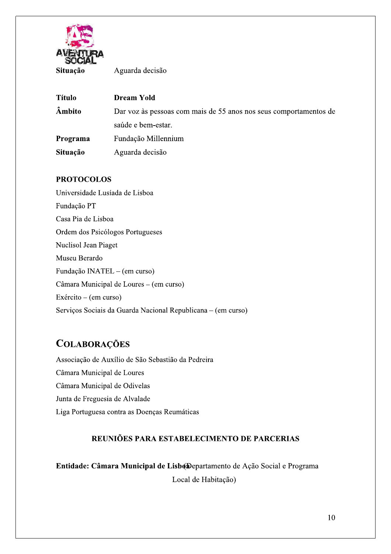

Aguarda decisão

| <b>Título</b> | <b>Dream Yold</b>                                                 |  |  |
|---------------|-------------------------------------------------------------------|--|--|
| <b>Âmbito</b> | Dar voz às pessoas com mais de 55 anos nos seus comportamentos de |  |  |
|               | saúde e bem-estar.                                                |  |  |
| Programa      | Fundação Millennium                                               |  |  |
| Situação      | Aguarda decisão                                                   |  |  |

# **PROTOCOLOS**

Universidade Lusíada de Lisboa Fundação PT Casa Pia de Lisboa Ordem dos Psicólogos Portugueses Nuclisol Jean Piaget Museu Berardo Fundação INATEL - (em curso) Câmara Municipal de Loures – (em curso)  $Exército - (em curso)$ Serviços Sociais da Guarda Nacional Republicana – (em curso)

# **COLABORAÇÕES**

Associação de Auxílio de São Sebastião da Pedreira Câmara Municipal de Loures Câmara Municipal de Odivelas Junta de Freguesia de Alvalade Liga Portuguesa contra as Doenças Reumáticas

# REUNIÕES PARA ESTABELECIMENTO DE PARCERIAS

Entidade: Câmara Municipal de LisboDepartamento de Ação Social e Programa

Local de Habitação)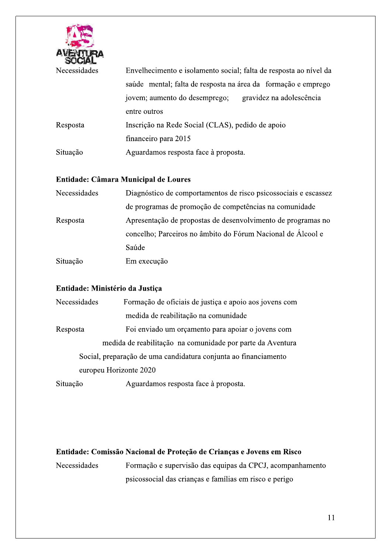

s envelhecimento e isolamento social: falta de resposta ao nível da saúde mental: falta de resposta na área da formação e emprego iovem: aumento do desempreg go: gravidez na adolescência entre outros Resposta Inse scrição na Rede Social (CLAS), pedido de apoio cimento e isolamento social; falta de resposta ao n<br>
nental; falta de resposta na área da formação e en<br>
umento do desemprego; gravidez na adolescêr<br>
tros<br>
o na Rede Social (CLAS), pedido de apoio<br>
ro para 2015<br>
mos respos financeiro para 2015 Situação Aguardamos resposta face à proposta.

# Entidade: Câmara Municipal de Loures

| Necessidades | Diagnóstico de comportamentos de risco psicossociais e escassez |
|--------------|-----------------------------------------------------------------|
|              | de programas de promoção de competências na comunidade          |
| Resposta     | Apresentação de propostas de desenvolvimento de programas no    |
|              | concelho; Parceiros no âmbito do Fórum Nacional de Álcool e     |
|              | Saúde                                                           |
| Situação     | Em execução                                                     |

# Entidade: Ministério da Justiça

|              | Entidade: Ministério da Justiça                                 |
|--------------|-----------------------------------------------------------------|
| Necessidades | Formação de oficiais de justica e apoio aos jovens com          |
|              | medida de reabilitação na comunidade                            |
| Resposta     | Foi enviado um orçamento para apoiar o jovens com               |
|              | medida de reabilitação na comunidade por parte da Aventura      |
|              | Social, preparação de uma candidatura conjunta ao financiamento |
|              | europeu Horizonte 2020                                          |
| Situação     | Aguardamos resposta face à proposta.                            |
|              |                                                                 |
|              |                                                                 |
|              |                                                                 |
|              |                                                                 |

# Entidade: Comissão Nacional de Proteção de Crianças e Jovens em Risco

**Necessidades** s Formação e supervisão das equipas da CPCJ, acompanhamento cão de Crianças e Jovens em Risco<br>são das equipas da CPCJ, acompanhamento<br>anças e famílias em risco e perigo<br>11 psicossocial das criancas e famílias em risco e perigo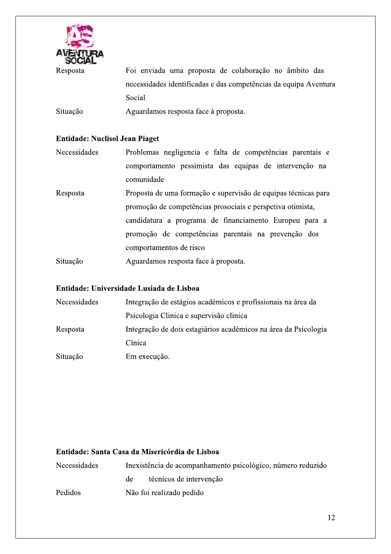

Foi enviada uma proposta de colaboração no âmbito das necessidades identificadas e das competências da equipa Aventura Social

Situação Aguardamos resposta face à proposta.

# **Entidade: Nuclisol Jean Piaget**

| Necessidades | Problemas negligencia e falta de competências parentais e      |
|--------------|----------------------------------------------------------------|
|              | comportamento pessimista das equipas de intervenção na         |
|              | comunidade                                                     |
| Resposta     | Proposta de uma formação e supervisão de equipas técnicas para |

promoção de competências prosociais e perspetiva otimista, candidatura a programa de financiamento Europeu para a promoção de competências parentais na prevenção dos comportamentos de risco

Situação Aguardamos resposta face à proposta.

# Entidade: Universidade Lusiada de Lisboa

| Necessidades | Integração de estágios académicos e profissionais na área da    |
|--------------|-----------------------------------------------------------------|
|              | Psicologia Clinica e supervisão clinica                         |
| Resposta     | Integração de dois estagiários académicos na área da Psicologia |
|              | Cínica                                                          |
| Situação     | Em execução.                                                    |

# Entidade: Santa Casa da Misericórdia de Lisboa

| Necessidades | Inexistência de acompanhamento psicológico, número reduzido |                         |  |
|--------------|-------------------------------------------------------------|-------------------------|--|
|              | de                                                          | técnicos de intervenção |  |
| Pedidos      | Não foi realizado pedido                                    |                         |  |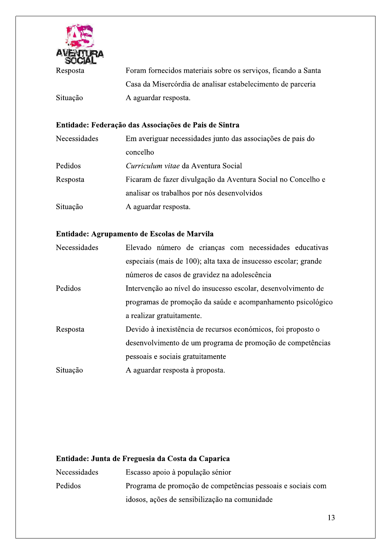

Situação

Foram fornecidos materiais sobre os serviços, ficando a Santa Casa da Misercórdia de analisar estabelecimento de parceria A aguardar resposta.

# Entidade: Federação das Associações de Pais de Sintra

| Em averiguar necessidades junto das associações de pais do   |  |
|--------------------------------------------------------------|--|
| concelho                                                     |  |
| Curriculum vitae da Aventura Social                          |  |
| Ficaram de fazer divulgação da Aventura Social no Concelho e |  |
| analisar os trabalhos por nós desenvolvidos                  |  |
| A aguardar resposta.                                         |  |
|                                                              |  |

# Entidade: Agrupamento de Escolas de Marvila

| Necessidades | Elevado número de crianças com necessidades educativas          |
|--------------|-----------------------------------------------------------------|
|              | especiais (mais de 100); alta taxa de insucesso escolar; grande |
|              | números de casos de gravidez na adolescência                    |
| Pedidos      | Intervenção ao nível do insucesso escolar, desenvolvimento de   |
|              | programas de promoção da saúde e acompanhamento psicológico     |
|              | a realizar gratuitamente.                                       |
| Resposta     | Devido à inexistência de recursos económicos, foi proposto o    |
|              | desenvolvimento de um programa de promoção de competências      |
|              | pessoais e sociais gratuitamente                                |
| Situação     | A aguardar resposta à proposta.                                 |

# Entidade: Junta de Freguesia da Costa da Caparica

| <b>Necessidades</b> | Escasso apoio à população sénior                            |
|---------------------|-------------------------------------------------------------|
| Pedidos             | Programa de promoção de competências pessoais e sociais com |
|                     | idosos, ações de sensibilização na comunidade               |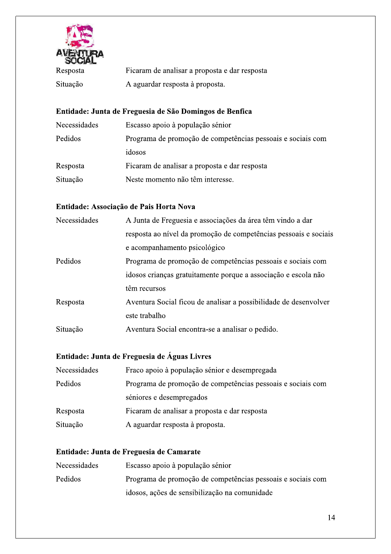

| Resposta | Ficaram de analisar a proposta e dar resposta |
|----------|-----------------------------------------------|
| Situação | A aguardar resposta à proposta.               |

# Entidade: Junta de Freguesia de São Domingos de Benfica

| Necessidades | Escasso apoio à população sénior                            |
|--------------|-------------------------------------------------------------|
| Pedidos      | Programa de promoção de competências pessoais e sociais com |
|              | idosos                                                      |
| Resposta     | Ficaram de analisar a proposta e dar resposta               |
| Situação     | Neste momento não têm interesse.                            |

# Entidade: Associação de Pais Horta Nova

| Necessidades | A Junta de Freguesia e associações da área têm vindo a dar       |
|--------------|------------------------------------------------------------------|
|              | resposta ao nível da promoção de competências pessoais e sociais |
|              | e acompanhamento psicológico                                     |
| Pedidos      | Programa de promoção de competências pessoais e sociais com      |
|              | idosos crianças gratuitamente porque a associação e escola não   |
|              | têm recursos                                                     |
| Resposta     | Aventura Social ficou de analisar a possibilidade de desenvolver |
|              | este trabalho                                                    |
| Situação     | Aventura Social encontra-se a analisar o pedido.                 |

# Entidade: Junta de Freguesia de Águas Livres

| Necessidades | Fraco apoio à população sénior e desempregada               |
|--------------|-------------------------------------------------------------|
| Pedidos      | Programa de promoção de competências pessoais e sociais com |
|              | séniores e desempregados                                    |
| Resposta     | Ficaram de analisar a proposta e dar resposta               |
| Situação     | A aguardar resposta à proposta.                             |
|              |                                                             |

# Entidade: Junta de Freguesia de Camarate

| <b>Necessidades</b> | Escasso apoio à população sénior                            |
|---------------------|-------------------------------------------------------------|
| Pedidos             | Programa de promoção de competências pessoais e sociais com |
|                     | idosos, ações de sensibilização na comunidade               |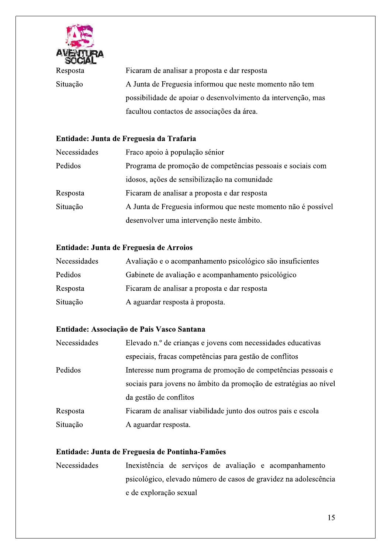

Ficaram de analisar a proposta e dar resposta A Junta de Freguesia informou que neste momento não tem possibilidade de apoiar o desenvolvimento da intervenção, mas facultou contactos de associações da área.

# Entidade: Junta de Freguesia da Trafaria

| Necessidades | Fraco apoio à população sénior                                 |
|--------------|----------------------------------------------------------------|
| Pedidos      | Programa de promoção de competências pessoais e sociais com    |
|              | idosos, ações de sensibilização na comunidade                  |
| Resposta     | Ficaram de analisar a proposta e dar resposta                  |
| Situação     | A Junta de Freguesia informou que neste momento não é possível |
|              | desenvolver uma intervenção neste âmbito.                      |

# Entidade: Junta de Freguesia de Arroios

| Necessidades | Avaliação e o acompanhamento psicológico são insuficientes |
|--------------|------------------------------------------------------------|
| Pedidos      | Gabinete de avaliação e acompanhamento psicológico         |
| Resposta     | Ficaram de analisar a proposta e dar resposta              |
| Situação     | A aguardar resposta à proposta.                            |

# Entidade: Associação de Pais Vasco Santana

| Necessidades | Elevado n.º de crianças e jovens com necessidades educativas      |
|--------------|-------------------------------------------------------------------|
|              | especiais, fracas competências para gestão de conflitos           |
| Pedidos      | Interesse num programa de promoção de competências pessoais e     |
|              | sociais para jovens no âmbito da promoção de estratégias ao nível |
|              | da gestão de conflitos                                            |
| Resposta     | Ficaram de analisar viabilidade junto dos outros pais e escola    |
| Situação     | A aguardar resposta.                                              |

# Entidade: Junta de Freguesia de Pontinha-Famões

Necessidades Inexistência de serviços de avaliação e acompanhamento psicológico, elevado número de casos de gravidez na adolescência e de exploração sexual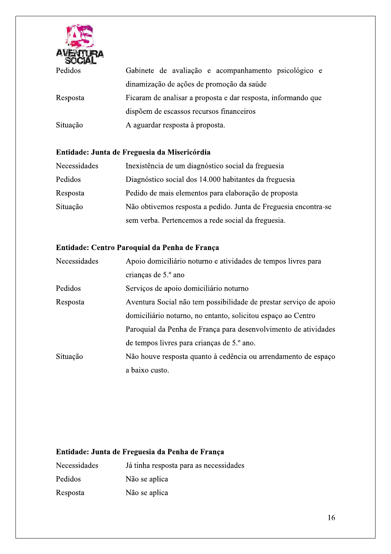

| Pedidos  | Gabinete de avaliação e acompanhamento psicológico e          |
|----------|---------------------------------------------------------------|
|          | dinamização de ações de promoção da saúde                     |
| Resposta | Ficaram de analisar a proposta e dar resposta, informando que |
|          | dispõem de escassos recursos financeiros                      |
| Situação | A aguardar resposta à proposta.                               |

# Entidade: Junta de Freguesia da Misericórdia

| Necessidades | Inexistência de um diagnóstico social da freguesia              |
|--------------|-----------------------------------------------------------------|
| Pedidos      | Diagnóstico social dos 14.000 habitantes da freguesia           |
| Resposta     | Pedido de mais elementos para elaboração de proposta            |
| Situação     | Não obtivemos resposta a pedido. Junta de Freguesia encontra-se |
|              | sem verba. Pertencemos a rede social da freguesia.              |

# Entidade: Centro Paroquial da Penha de França

| Necessidades | Apoio domiciliário noturno e atividades de tempos livres para     |
|--------------|-------------------------------------------------------------------|
|              | crianças de 5.º ano                                               |
| Pedidos      | Serviços de apoio domiciliário noturno                            |
| Resposta     | Aventura Social não tem possibilidade de prestar serviço de apoio |
|              | domiciliário noturno, no entanto, solicitou espaço ao Centro      |
|              | Paroquial da Penha de França para desenvolvimento de atividades   |
|              | de tempos livres para crianças de 5.º ano.                        |
| Situação     | Não houve resposta quanto à cedência ou arrendamento de espaço    |
|              | a baixo custo.                                                    |

# Entidade: Junta de Freguesia da Penha de França

| Necessidades | Já tinha resposta para as necessidades |
|--------------|----------------------------------------|
| Pedidos      | Não se aplica                          |
| Resposta     | Não se aplica                          |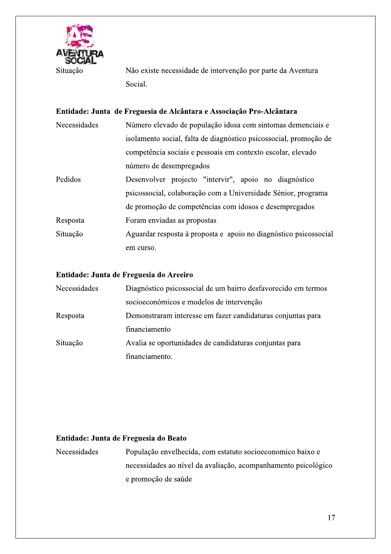

Não existe necessidade de intervenção por parte da Aventura Social.

|              | Entidade: Junta de Freguesia de Alcântara e Associação Pro-Alcântara |
|--------------|----------------------------------------------------------------------|
| Necessidades | Número elevado de população idosa com sintomas demenciais e          |
|              | isolamento social, falta de diagnóstico psicossocial, promoção de    |
|              | competência sociais e pessoais em contexto escolar, elevado          |
|              | número de desempregados                                              |
| Pedidos      | Desenvolver projecto "intervir", apoio no diagnóstico                |
|              | psicossocial, colaboração com a Universidade Sénior, programa        |
|              | de promoção de competências com idosos e desempregados               |
| Resposta     | Foram enviadas as propostas                                          |
| Situação     | Aguardar resposta à proposta e apoio no diagnóstico psicossocial     |
|              | em curso.                                                            |

# Entidade: Junta de Freguesia do Areeiro

| Necessidades | Diagnóstico psicossocial de um bairro desfavorecido em termos |
|--------------|---------------------------------------------------------------|
|              | socioeconómicos e modelos de intervenção                      |
| Resposta     | Demonstraram interesse em fazer candidaturas conjuntas para   |
|              | financiamento                                                 |
| Situação     | Avalia se oportunidades de candidaturas conjuntas para        |
|              | financiamento.                                                |

# Entidade: Junta de Freguesia do Beato

População envelhecida, com estatuto socioeconomico baixo e Necessidades necessidades ao nível da avaliação, acompanhamento psicológico e promoção de saúde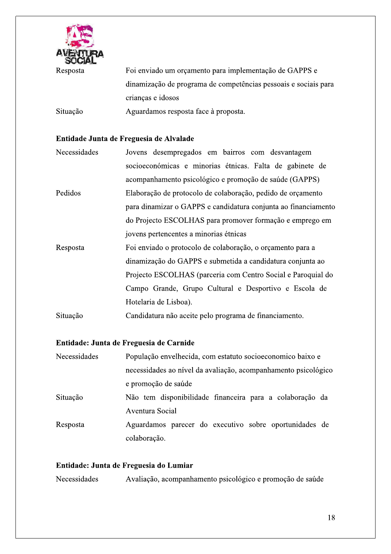

Foi enviado um orçamento para implementação de GAPPS e dinamização de programa de competências pessoais e sociais para crianças e idosos

Situação Aguardamos resposta face à proposta.

#### Entidade Junta de Freguesia de Alvalade

| Necessidades | Jovens desempregados em bairros com desvantagem                |
|--------------|----------------------------------------------------------------|
|              | socioeconómicas e minorias étnicas. Falta de gabinete de       |
|              | acompanhamento psicológico e promoção de saúde (GAPPS)         |
| Pedidos      | Elaboração de protocolo de colaboração, pedido de orçamento    |
|              | para dinamizar o GAPPS e candidatura conjunta ao financiamento |
|              | do Projecto ESCOLHAS para promover formação e emprego em       |
|              | jovens pertencentes a minorias étnicas                         |
| Resposta     | Foi enviado o protocolo de colaboração, o orçamento para a     |
|              | dinamização do GAPPS e submetida a candidatura conjunta ao     |
|              | Projecto ESCOLHAS (parceria com Centro Social e Paroquial do   |
|              | Campo Grande, Grupo Cultural e Desportivo e Escola de          |
|              | Hotelaria de Lisboa).                                          |

Situação Candidatura não aceite pelo programa de financiamento.

# Entidade: Junta de Freguesia de Carnide

| Necessidades | População envelhecida, com estatuto socioeconomico baixo e     |
|--------------|----------------------------------------------------------------|
|              | necessidades ao nível da avaliação, acompanhamento psicológico |
|              | e promoção de saúde                                            |
| Situação     | Não tem disponibilidade financeira para a colaboração da       |
|              | Aventura Social                                                |
| Resposta     | Aguardamos parecer do executivo sobre oportunidades de         |
|              | colaboração.                                                   |

# Entidade: Junta de Freguesia do Lumiar

Necessidades Avaliação, acompanhamento psicológico e promoção de saúde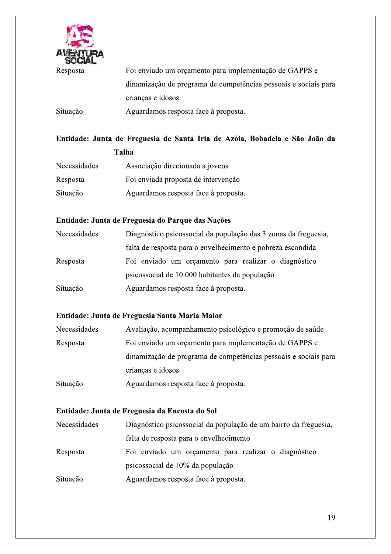

Foi enviado um orçamento para implementação de GAPPS e dinamização de programa de competências pessoais e sociais para crianças e idosos Situação Aguardamos resposta face à proposta.

# Entidade: Junta de Freguesia de Santa Iria de Azóia, Bobadela e São João da Talha

| Necessidades | Associação direcionada a jovens      |
|--------------|--------------------------------------|
| Resposta     | Foi enviada proposta de intervenção  |
| Situação     | Aguardamos resposta face à proposta. |

# Entidade: Junta de Freguesia do Parque das Nações

| Necessidades | Diagnóstico psicossocial da população das 3 zonas da freguesia, |
|--------------|-----------------------------------------------------------------|
|              | falta de resposta para o envelhecimento e pobreza escondida     |
| Resposta     | Foi enviado um orçamento para realizar o diagnóstico            |
|              | psicossocial de 10.000 habitantes da população                  |
| Situação     | Aguardamos resposta face à proposta.                            |

# Entidade: Junta de Freguesia Santa Maria Maior

| Necessidades | Avaliação, acompanhamento psicológico e promoção de saúde       |
|--------------|-----------------------------------------------------------------|
| Resposta     | Foi enviado um orçamento para implementação de GAPPS e          |
|              | dinamização de programa de competências pessoais e sociais para |
|              | crianças e idosos                                               |
| Situação     | Aguardamos resposta face à proposta.                            |

# Entidade: Junta de Freguesia da Encosta do Sol

| Necessidades | Diagnóstico psicossocial da população de um bairro da freguesia, |
|--------------|------------------------------------------------------------------|
|              | falta de resposta para o envelhecimento                          |
| Resposta     | Foi enviado um orçamento para realizar o diagnóstico             |
|              | psicossocial de 10% da população                                 |
| Situação     | Aguardamos resposta face à proposta.                             |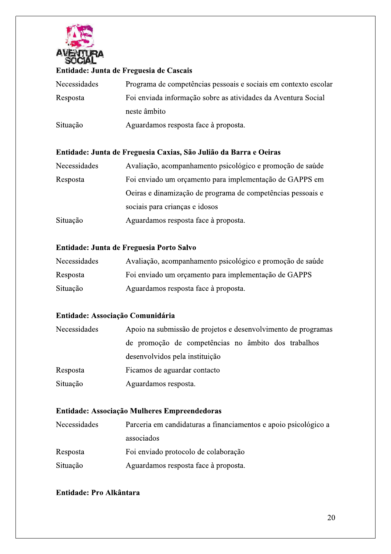

# Entidade: Junta de Freguesia de Cascais

| Necessidades | Programa de competências pessoais e sociais em contexto escolar |
|--------------|-----------------------------------------------------------------|
| Resposta     | Foi enviada informação sobre as atividades da Aventura Social   |
|              | neste âmbito                                                    |
| Situação     | Aguardamos resposta face à proposta.                            |

# Entidade: Junta de Freguesia Caxias, São Julião da Barra e Oeiras

| Necessidades | Avaliação, acompanhamento psicológico e promoção de saúde   |
|--------------|-------------------------------------------------------------|
| Resposta     | Foi enviado um orçamento para implementação de GAPPS em     |
|              | Oeiras e dinamização de programa de competências pessoais e |
|              | sociais para crianças e idosos                              |
| Situação     | Aguardamos resposta face à proposta.                        |

# Entidade: Junta de Freguesia Porto Salvo

| Necessidades | Avaliação, acompanhamento psicológico e promoção de saúde |
|--------------|-----------------------------------------------------------|
| Resposta     | Foi enviado um orçamento para implementação de GAPPS      |
| Situação     | Aguardamos resposta face à proposta.                      |

# Entidade: Associação Comunidária

| Necessidades | Apoio na submissão de projetos e desenvolvimento de programas |
|--------------|---------------------------------------------------------------|
|              | de promoção de competências no âmbito dos trabalhos           |
|              | desenvolvidos pela instituição                                |
| Resposta     | Ficamos de aguardar contacto                                  |
| Situação     | Aguardamos resposta.                                          |

# Entidade: Associação Mulheres Empreendedoras

| <b>Necessidades</b> | Parceria em candidaturas a financiamentos e apoio psicológico a |
|---------------------|-----------------------------------------------------------------|
|                     | associados                                                      |
| Resposta            | Foi enviado protocolo de colaboração                            |
| Situação            | Aguardamos resposta face à proposta.                            |

# Entidade: Pro Alkântara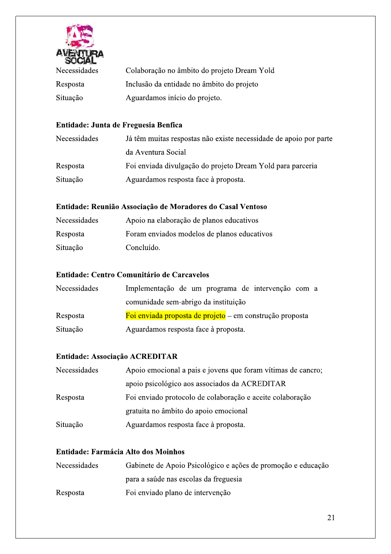

| Necessidades | Colaboração no âmbito do projeto Dream Yold |
|--------------|---------------------------------------------|
| Resposta     | Inclusão da entidade no âmbito do projeto   |
| Situação     | Aguardamos início do projeto.               |

# Entidade: Junta de Freguesia Benfica

| Necessidades | Já têm muitas respostas não existe necessidade de apoio por parte |
|--------------|-------------------------------------------------------------------|
|              | da Aventura Social                                                |
| Resposta     | Foi enviada divulgação do projeto Dream Yold para parceria        |
| Situação     | Aguardamos resposta face à proposta.                              |

# Entidade: Reunião Associação de Moradores do Casal Ventoso

| Necessidades | Apoio na elaboração de planos educativos    |
|--------------|---------------------------------------------|
| Resposta     | Foram enviados modelos de planos educativos |
| Situação     | Concluído.                                  |

# Entidade: Centro Comunitário de Carcavelos

| Necessidades | Implementação de um programa de intervenção com a        |
|--------------|----------------------------------------------------------|
|              | comunidade sem-abrigo da instituição                     |
| Resposta     | Foi enviada proposta de projeto – em construção proposta |
| Situação     | Aguardamos resposta face à proposta.                     |

# Entidade: Associação ACREDITAR

| Necessidades | Apoio emocional a pais e jovens que foram vítimas de cancro; |
|--------------|--------------------------------------------------------------|
|              | apoio psicológico aos associados da ACREDITAR                |
| Resposta     | Foi enviado protocolo de colaboração e aceite colaboração    |
|              | gratuita no âmbito do apoio emocional                        |
| Situação     | Aguardamos resposta face à proposta.                         |

# Entidade: Farmácia Alto dos Moinhos

| Necessidades | Gabinete de Apoio Psicológico e ações de promoção e educação |
|--------------|--------------------------------------------------------------|
|              | para a saúde nas escolas da freguesia                        |
| Resposta     | Foi enviado plano de intervenção                             |